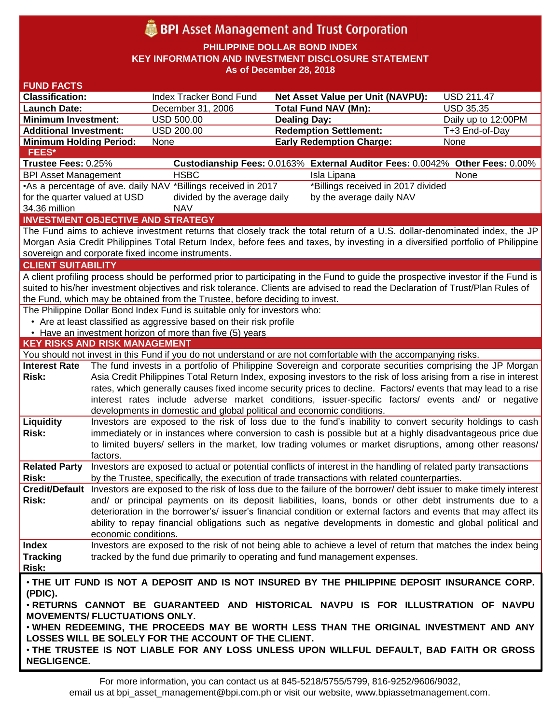# **BPI** Asset Management and Trust Corporation

**PHILIPPINE DOLLAR BOND INDEX**

**KEY INFORMATION AND INVESTMENT DISCLOSURE STATEMENT**

**As of December 28, 2018**

| <b>FUND FACTS</b>                                                                                                                                |                                                                                                                    |                                                                        |                                                                                                                                 |                     |  |
|--------------------------------------------------------------------------------------------------------------------------------------------------|--------------------------------------------------------------------------------------------------------------------|------------------------------------------------------------------------|---------------------------------------------------------------------------------------------------------------------------------|---------------------|--|
| <b>Classification:</b>                                                                                                                           |                                                                                                                    | Index Tracker Bond Fund                                                | Net Asset Value per Unit (NAVPU):                                                                                               | <b>USD 211.47</b>   |  |
| <b>Launch Date:</b>                                                                                                                              |                                                                                                                    | December 31, 2006                                                      | <b>Total Fund NAV (Mn):</b>                                                                                                     | <b>USD 35.35</b>    |  |
| <b>Minimum Investment:</b>                                                                                                                       |                                                                                                                    | <b>USD 500.00</b>                                                      | <b>Dealing Day:</b>                                                                                                             | Daily up to 12:00PM |  |
| <b>Additional Investment:</b>                                                                                                                    |                                                                                                                    | <b>USD 200.00</b>                                                      | <b>Redemption Settlement:</b>                                                                                                   | T+3 End-of-Day      |  |
| <b>Minimum Holding Period:</b>                                                                                                                   |                                                                                                                    | None                                                                   | <b>Early Redemption Charge:</b>                                                                                                 | None                |  |
| <b>FEES*</b>                                                                                                                                     |                                                                                                                    |                                                                        |                                                                                                                                 |                     |  |
| Trustee Fees: 0.25%                                                                                                                              |                                                                                                                    |                                                                        | Custodianship Fees: 0.0163% External Auditor Fees: 0.0042% Other Fees: 0.00%                                                    |                     |  |
| <b>BPI Asset Management</b>                                                                                                                      |                                                                                                                    | <b>HSBC</b>                                                            | Isla Lipana                                                                                                                     | None                |  |
| •As a percentage of ave. daily NAV *Billings received in 2017<br>*Billings received in 2017 divided                                              |                                                                                                                    |                                                                        |                                                                                                                                 |                     |  |
| for the quarter valued at USD<br>divided by the average daily<br>by the average daily NAV                                                        |                                                                                                                    |                                                                        |                                                                                                                                 |                     |  |
| 34.36 million<br><b>NAV</b>                                                                                                                      |                                                                                                                    |                                                                        |                                                                                                                                 |                     |  |
| <b>INVESTMENT OBJECTIVE AND STRATEGY</b>                                                                                                         |                                                                                                                    |                                                                        |                                                                                                                                 |                     |  |
| The Fund aims to achieve investment returns that closely track the total return of a U.S. dollar-denominated index, the JP                       |                                                                                                                    |                                                                        |                                                                                                                                 |                     |  |
| Morgan Asia Credit Philippines Total Return Index, before fees and taxes, by investing in a diversified portfolio of Philippine                  |                                                                                                                    |                                                                        |                                                                                                                                 |                     |  |
| sovereign and corporate fixed income instruments.                                                                                                |                                                                                                                    |                                                                        |                                                                                                                                 |                     |  |
| <b>CLIENT SUITABILITY</b>                                                                                                                        |                                                                                                                    |                                                                        |                                                                                                                                 |                     |  |
| A client profiling process should be performed prior to participating in the Fund to guide the prospective investor if the Fund is               |                                                                                                                    |                                                                        |                                                                                                                                 |                     |  |
| suited to his/her investment objectives and risk tolerance. Clients are advised to read the Declaration of Trust/Plan Rules of                   |                                                                                                                    |                                                                        |                                                                                                                                 |                     |  |
| the Fund, which may be obtained from the Trustee, before deciding to invest.                                                                     |                                                                                                                    |                                                                        |                                                                                                                                 |                     |  |
| The Philippine Dollar Bond Index Fund is suitable only for investors who:                                                                        |                                                                                                                    |                                                                        |                                                                                                                                 |                     |  |
| • Are at least classified as aggressive based on their risk profile<br>• Have an investment horizon of more than five (5) years                  |                                                                                                                    |                                                                        |                                                                                                                                 |                     |  |
| <b>KEY RISKS AND RISK MANAGEMENT</b>                                                                                                             |                                                                                                                    |                                                                        |                                                                                                                                 |                     |  |
|                                                                                                                                                  |                                                                                                                    |                                                                        | You should not invest in this Fund if you do not understand or are not comfortable with the accompanying risks.                 |                     |  |
| <b>Interest Rate</b>                                                                                                                             |                                                                                                                    |                                                                        | The fund invests in a portfolio of Philippine Sovereign and corporate securities comprising the JP Morgan                       |                     |  |
| <b>Risk:</b>                                                                                                                                     | Asia Credit Philippines Total Return Index, exposing investors to the risk of loss arising from a rise in interest |                                                                        |                                                                                                                                 |                     |  |
|                                                                                                                                                  | rates, which generally causes fixed income security prices to decline. Factors/ events that may lead to a rise     |                                                                        |                                                                                                                                 |                     |  |
|                                                                                                                                                  |                                                                                                                    |                                                                        | interest rates include adverse market conditions, issuer-specific factors/ events and/ or negative                              |                     |  |
|                                                                                                                                                  |                                                                                                                    | developments in domestic and global political and economic conditions. |                                                                                                                                 |                     |  |
| Liquidity                                                                                                                                        |                                                                                                                    |                                                                        | Investors are exposed to the risk of loss due to the fund's inability to convert security holdings to cash                      |                     |  |
| <b>Risk:</b>                                                                                                                                     |                                                                                                                    |                                                                        | immediately or in instances where conversion to cash is possible but at a highly disadvantageous price due                      |                     |  |
|                                                                                                                                                  |                                                                                                                    |                                                                        | to limited buyers/ sellers in the market, low trading volumes or market disruptions, among other reasons/                       |                     |  |
|                                                                                                                                                  | factors.                                                                                                           |                                                                        |                                                                                                                                 |                     |  |
| <b>Related Party</b>                                                                                                                             |                                                                                                                    |                                                                        | Investors are exposed to actual or potential conflicts of interest in the handling of related party transactions                |                     |  |
| <b>Risk:</b>                                                                                                                                     |                                                                                                                    |                                                                        | by the Trustee, specifically, the execution of trade transactions with related counterparties.                                  |                     |  |
|                                                                                                                                                  |                                                                                                                    |                                                                        | Credit/Default Investors are exposed to the risk of loss due to the failure of the borrower/debt issuer to make timely interest |                     |  |
| Risk:                                                                                                                                            |                                                                                                                    |                                                                        | and/ or principal payments on its deposit liabilities, loans, bonds or other debt instruments due to a                          |                     |  |
|                                                                                                                                                  |                                                                                                                    |                                                                        | deterioration in the borrower's/ issuer's financial condition or external factors and events that may affect its                |                     |  |
|                                                                                                                                                  |                                                                                                                    |                                                                        | ability to repay financial obligations such as negative developments in domestic and global political and                       |                     |  |
|                                                                                                                                                  | economic conditions.                                                                                               |                                                                        |                                                                                                                                 |                     |  |
| <b>Index</b>                                                                                                                                     |                                                                                                                    |                                                                        | Investors are exposed to the risk of not being able to achieve a level of return that matches the index being                   |                     |  |
| <b>Tracking</b>                                                                                                                                  |                                                                                                                    |                                                                        | tracked by the fund due primarily to operating and fund management expenses.                                                    |                     |  |
| Risk:                                                                                                                                            |                                                                                                                    |                                                                        |                                                                                                                                 |                     |  |
| . THE UIT FUND IS NOT A DEPOSIT AND IS NOT INSURED BY THE PHILIPPINE DEPOSIT INSURANCE CORP.                                                     |                                                                                                                    |                                                                        |                                                                                                                                 |                     |  |
| (PDIC).                                                                                                                                          |                                                                                                                    |                                                                        |                                                                                                                                 |                     |  |
| . RETURNS CANNOT BE GUARANTEED AND HISTORICAL NAVPU IS FOR ILLUSTRATION OF NAVPU                                                                 |                                                                                                                    |                                                                        |                                                                                                                                 |                     |  |
| <b>MOVEMENTS/ FLUCTUATIONS ONLY.</b>                                                                                                             |                                                                                                                    |                                                                        |                                                                                                                                 |                     |  |
| . WHEN REDEEMING, THE PROCEEDS MAY BE WORTH LESS THAN THE ORIGINAL INVESTMENT AND ANY                                                            |                                                                                                                    |                                                                        |                                                                                                                                 |                     |  |
| LOSSES WILL BE SOLELY FOR THE ACCOUNT OF THE CLIENT.<br>. THE TRUSTEE IS NOT LIABLE FOR ANY LOSS UNLESS UPON WILLFUL DEFAULT, BAD FAITH OR GROSS |                                                                                                                    |                                                                        |                                                                                                                                 |                     |  |
|                                                                                                                                                  |                                                                                                                    |                                                                        |                                                                                                                                 |                     |  |
| <b>NEGLIGENCE.</b>                                                                                                                               |                                                                                                                    |                                                                        |                                                                                                                                 |                     |  |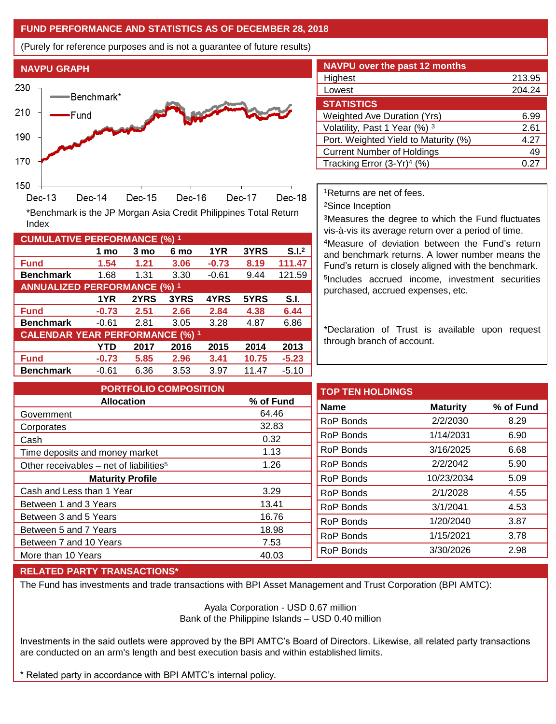## **FUND PERFORMANCE AND STATISTICS AS OF DECEMBER 28, 2018**

**1 mo 3 mo 6 mo 1YR 3YRS S.I.<sup>2</sup>**

**1YR 2YRS 3YRS 4YRS 5YRS S.I.**

**YTD 2017 2016 2015 2014 2013**

(Purely for reference purposes and is not a guarantee of future results)



**Fund 1.54 1.21 3.06 -0.73 8.19 111.47 Benchmark** 1.68 1.31 3.30 -0.61 9.44 121.59

\*Benchmark is the JP Morgan Asia Credit Philippines Total Return

**Fund -0.73 2.51 2.66 2.84 4.38 6.44 Benchmark** -0.61 2.81 3.05 3.28 4.87 6.86

**Fund -0.73 5.85 2.96 3.41 10.75 -5.23 Benchmark** -0.61 6.36 3.53 3.97 11.47 -5.10

| <b>NAVPU over the past 12 months</b>   |           |  |  |  |
|----------------------------------------|-----------|--|--|--|
| Highest                                | 213.95    |  |  |  |
| Lowest                                 | 204.24    |  |  |  |
| <b>STATISTICS</b>                      |           |  |  |  |
| <b>Weighted Ave Duration (Yrs)</b>     | 6.99      |  |  |  |
| Volatility, Past 1 Year (%) 3          | 2.61      |  |  |  |
| Port. Weighted Yield to Maturity (%)   | 4.27      |  |  |  |
| <b>Current Number of Holdings</b>      | 49        |  |  |  |
| Tracking Error (3-Yr) <sup>4</sup> (%) | $0.2^{-}$ |  |  |  |

<sup>1</sup>Returns are net of fees.

<sup>2</sup>Since Inception

<sup>3</sup>Measures the degree to which the Fund fluctuates vis-à-vis its average return over a period of time.

<sup>4</sup>Measure of deviation between the Fund's return and benchmark returns. A lower number means the Fund's return is closely aligned with the benchmark. 5 Includes accrued income, investment securities purchased, accrued expenses, etc.

\*Declaration of Trust is available upon request through branch of account.

**TOP TEN HOLDINGS Name Maturity % of Fund** RoP Bonds 2/2/2030 8.29 RoP Bonds 1/14/2031 6.90 RoP Bonds 3/16/2025 6.68 RoP Bonds 2/2/2042 5.90 RoP Bonds 10/23/2034 5.09 RoP Bonds 2/1/2028 4.55 RoP Bonds 3/1/2041 4.53 RoP Bonds 1/20/2040 3.87 RoP Bonds 1/15/2021 3.78 RoP Bonds 3/30/2026 2.98 **PORTFOLIO COMPOSITION Allocation % of Fund** Government 64.46 Corporates 32.83 Cash 0.32 Time deposits and money market 1.13 Other receivables – net of liabilities<sup>5</sup>  $1.26$ **Maturity Profile** Cash and Less than 1 Year 3.29 Between 1 and 3 Years 13.41 Between 3 and 5 Years 16.76 Between 5 and 7 Years 18.98 Between 7 and 10 Years 7.53 More than 10 Years 40.03

### **RELATED PARTY TRANSACTIONS\***

**CUMULATIVE PERFORMANCE (%) <sup>1</sup>**

Index

**ANNUALIZED PERFORMANCE (%) <sup>1</sup>**

**CALENDAR YEAR PERFORMANCE (%) <sup>1</sup>**

The Fund has investments and trade transactions with BPI Asset Management and Trust Corporation (BPI AMTC):

Ayala Corporation - USD 0.67 million Bank of the Philippine Islands – USD 0.40 million

Investments in the said outlets were approved by the BPI AMTC's Board of Directors. Likewise, all related party transactions are conducted on an arm's length and best execution basis and within established limits.

\* Related party in accordance with BPI AMTC's internal policy.